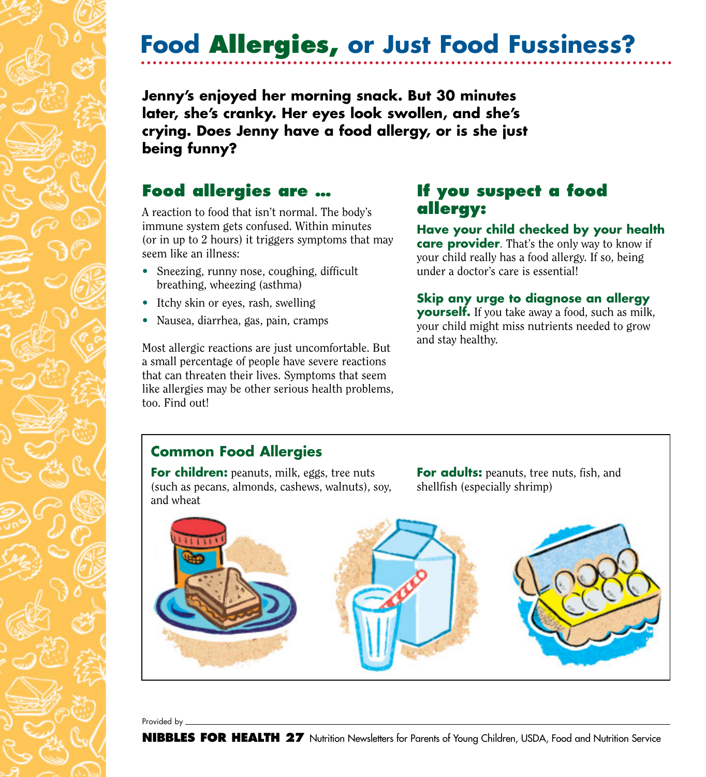# **Food Allergies, or Just Food Fussiness?**

**Jenny's enjoyed her morning snack. But 30 minutes later, she's cranky. Her eyes look swollen, and she's crying. Does Jenny have a food allergy, or is she just being funny?**

## **Food allergies are …**

A reaction to food that isn't normal. The body's immune system gets confused. Within minutes (or in up to 2 hours) it triggers symptoms that may seem like an illness:

- Sneezing, runny nose, coughing, difficult breathing, wheezing (asthma)
- Itchy skin or eyes, rash, swelling
- Nausea, diarrhea, gas, pain, cramps

Most allergic reactions are just uncomfortable. But a small percentage of people have severe reactions that can threaten their lives. Symptoms that seem like allergies may be other serious health problems, too. Find out!

## **If you suspect a food allergy:**

**Have your child checked by your health care provider**. That's the only way to know if your child really has a food allergy. If so, being under a doctor's care is essential!

#### **Skip any urge to diagnose an allergy**

**yourself.** If you take away a food, such as milk, your child might miss nutrients needed to grow and stay healthy.

### **Common Food Allergies**

**For children:** peanuts, milk, eggs, tree nuts (such as pecans, almonds, cashews, walnuts), soy, and wheat

**For adults:** peanuts, tree nuts, fish, and shellfish (especially shrimp)



Provided by